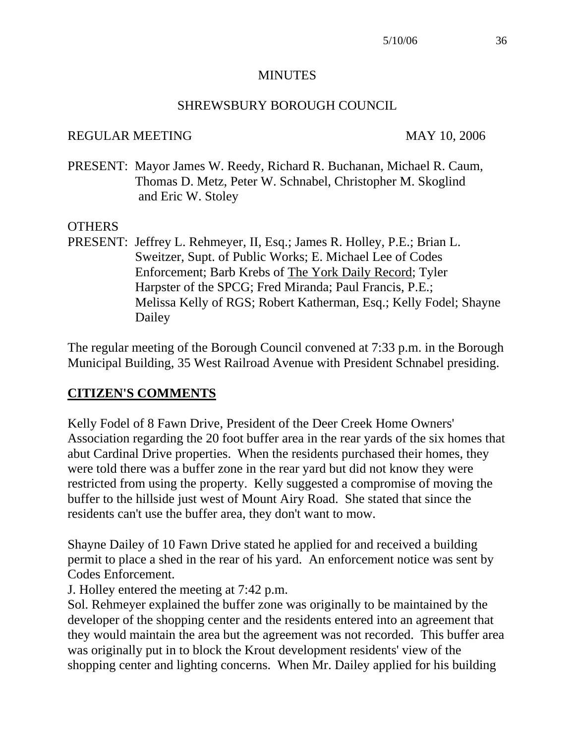#### **MINUTES**

#### SHREWSBURY BOROUGH COUNCIL

#### REGULAR MEETING MAY 10, 2006

PRESENT: Mayor James W. Reedy, Richard R. Buchanan, Michael R. Caum, Thomas D. Metz, Peter W. Schnabel, Christopher M. Skoglind and Eric W. Stoley

#### OTHERS

PRESENT: Jeffrey L. Rehmeyer, II, Esq.; James R. Holley, P.E.; Brian L. Sweitzer, Supt. of Public Works; E. Michael Lee of Codes Enforcement; Barb Krebs of The York Daily Record; Tyler Harpster of the SPCG; Fred Miranda; Paul Francis, P.E.; Melissa Kelly of RGS; Robert Katherman, Esq.; Kelly Fodel; Shayne Dailey

The regular meeting of the Borough Council convened at 7:33 p.m. in the Borough Municipal Building, 35 West Railroad Avenue with President Schnabel presiding.

#### **CITIZEN'S COMMENTS**

Kelly Fodel of 8 Fawn Drive, President of the Deer Creek Home Owners' Association regarding the 20 foot buffer area in the rear yards of the six homes that abut Cardinal Drive properties. When the residents purchased their homes, they were told there was a buffer zone in the rear yard but did not know they were restricted from using the property. Kelly suggested a compromise of moving the buffer to the hillside just west of Mount Airy Road. She stated that since the residents can't use the buffer area, they don't want to mow.

Shayne Dailey of 10 Fawn Drive stated he applied for and received a building permit to place a shed in the rear of his yard. An enforcement notice was sent by Codes Enforcement.

J. Holley entered the meeting at 7:42 p.m.

Sol. Rehmeyer explained the buffer zone was originally to be maintained by the developer of the shopping center and the residents entered into an agreement that they would maintain the area but the agreement was not recorded. This buffer area was originally put in to block the Krout development residents' view of the shopping center and lighting concerns. When Mr. Dailey applied for his building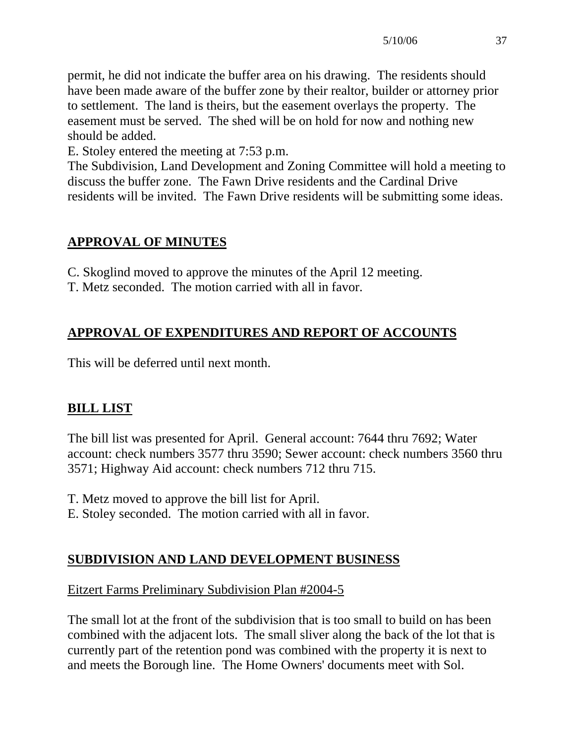permit, he did not indicate the buffer area on his drawing. The residents should have been made aware of the buffer zone by their realtor, builder or attorney prior to settlement. The land is theirs, but the easement overlays the property. The easement must be served. The shed will be on hold for now and nothing new should be added.

E. Stoley entered the meeting at 7:53 p.m.

The Subdivision, Land Development and Zoning Committee will hold a meeting to discuss the buffer zone. The Fawn Drive residents and the Cardinal Drive residents will be invited. The Fawn Drive residents will be submitting some ideas.

# **APPROVAL OF MINUTES**

C. Skoglind moved to approve the minutes of the April 12 meeting.

T. Metz seconded. The motion carried with all in favor.

# **APPROVAL OF EXPENDITURES AND REPORT OF ACCOUNTS**

This will be deferred until next month.

## **BILL LIST**

The bill list was presented for April. General account: 7644 thru 7692; Water account: check numbers 3577 thru 3590; Sewer account: check numbers 3560 thru 3571; Highway Aid account: check numbers 712 thru 715.

T. Metz moved to approve the bill list for April.

E. Stoley seconded. The motion carried with all in favor.

## **SUBDIVISION AND LAND DEVELOPMENT BUSINESS**

### Eitzert Farms Preliminary Subdivision Plan #2004-5

The small lot at the front of the subdivision that is too small to build on has been combined with the adjacent lots. The small sliver along the back of the lot that is currently part of the retention pond was combined with the property it is next to and meets the Borough line. The Home Owners' documents meet with Sol.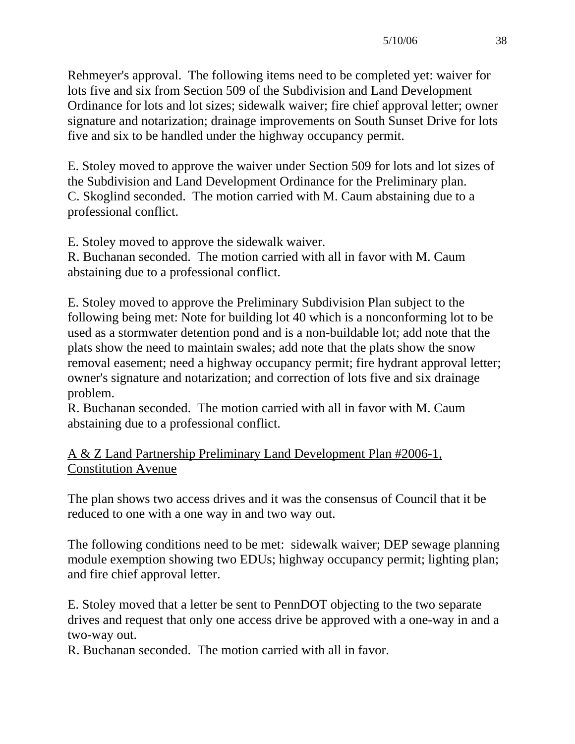Rehmeyer's approval. The following items need to be completed yet: waiver for lots five and six from Section 509 of the Subdivision and Land Development Ordinance for lots and lot sizes; sidewalk waiver; fire chief approval letter; owner signature and notarization; drainage improvements on South Sunset Drive for lots five and six to be handled under the highway occupancy permit.

E. Stoley moved to approve the waiver under Section 509 for lots and lot sizes of the Subdivision and Land Development Ordinance for the Preliminary plan. C. Skoglind seconded. The motion carried with M. Caum abstaining due to a professional conflict.

E. Stoley moved to approve the sidewalk waiver.

R. Buchanan seconded. The motion carried with all in favor with M. Caum abstaining due to a professional conflict.

E. Stoley moved to approve the Preliminary Subdivision Plan subject to the following being met: Note for building lot 40 which is a nonconforming lot to be used as a stormwater detention pond and is a non-buildable lot; add note that the plats show the need to maintain swales; add note that the plats show the snow removal easement; need a highway occupancy permit; fire hydrant approval letter; owner's signature and notarization; and correction of lots five and six drainage problem.

R. Buchanan seconded. The motion carried with all in favor with M. Caum abstaining due to a professional conflict.

## A & Z Land Partnership Preliminary Land Development Plan #2006-1, Constitution Avenue

The plan shows two access drives and it was the consensus of Council that it be reduced to one with a one way in and two way out.

The following conditions need to be met: sidewalk waiver; DEP sewage planning module exemption showing two EDUs; highway occupancy permit; lighting plan; and fire chief approval letter.

E. Stoley moved that a letter be sent to PennDOT objecting to the two separate drives and request that only one access drive be approved with a one-way in and a two-way out.

R. Buchanan seconded. The motion carried with all in favor.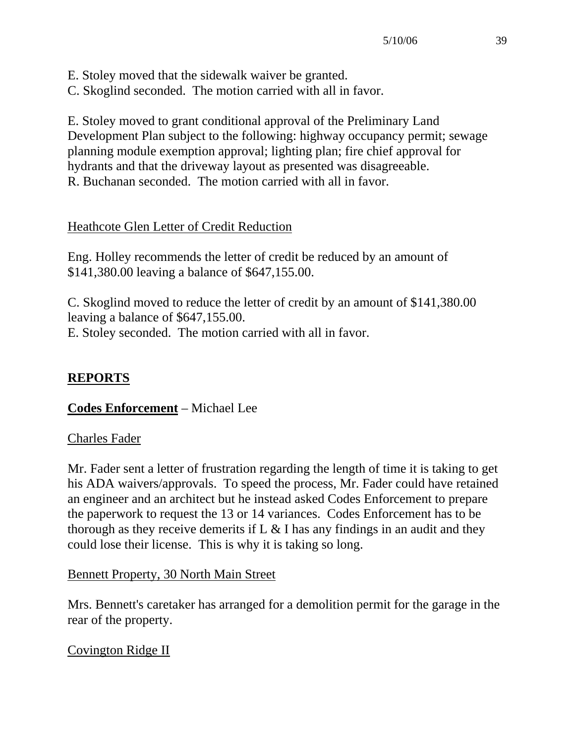E. Stoley moved that the sidewalk waiver be granted.

C. Skoglind seconded. The motion carried with all in favor.

E. Stoley moved to grant conditional approval of the Preliminary Land Development Plan subject to the following: highway occupancy permit; sewage planning module exemption approval; lighting plan; fire chief approval for hydrants and that the driveway layout as presented was disagreeable. R. Buchanan seconded. The motion carried with all in favor.

## Heathcote Glen Letter of Credit Reduction

Eng. Holley recommends the letter of credit be reduced by an amount of \$141,380.00 leaving a balance of \$647,155.00.

C. Skoglind moved to reduce the letter of credit by an amount of \$141,380.00 leaving a balance of \$647,155.00. E. Stoley seconded. The motion carried with all in favor.

# **REPORTS**

## **Codes Enforcement** – Michael Lee

## Charles Fader

Mr. Fader sent a letter of frustration regarding the length of time it is taking to get his ADA waivers/approvals. To speed the process, Mr. Fader could have retained an engineer and an architect but he instead asked Codes Enforcement to prepare the paperwork to request the 13 or 14 variances. Codes Enforcement has to be thorough as they receive demerits if  $L \& I$  has any findings in an audit and they could lose their license. This is why it is taking so long.

Bennett Property, 30 North Main Street

Mrs. Bennett's caretaker has arranged for a demolition permit for the garage in the rear of the property.

## Covington Ridge II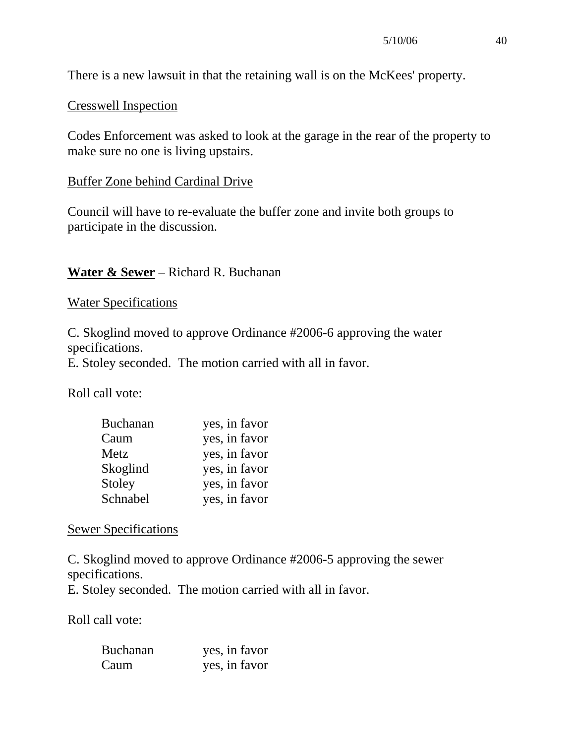There is a new lawsuit in that the retaining wall is on the McKees' property.

#### Cresswell Inspection

Codes Enforcement was asked to look at the garage in the rear of the property to make sure no one is living upstairs.

#### Buffer Zone behind Cardinal Drive

Council will have to re-evaluate the buffer zone and invite both groups to participate in the discussion.

### **Water & Sewer** – Richard R. Buchanan

Water Specifications

C. Skoglind moved to approve Ordinance #2006-6 approving the water specifications.

E. Stoley seconded. The motion carried with all in favor.

Roll call vote:

| <b>Buchanan</b> | yes, in favor |
|-----------------|---------------|
| Caum            | yes, in favor |
| Metz            | yes, in favor |
| Skoglind        | yes, in favor |
| Stoley          | yes, in favor |
| Schnabel        | yes, in favor |

#### Sewer Specifications

C. Skoglind moved to approve Ordinance #2006-5 approving the sewer specifications.

E. Stoley seconded. The motion carried with all in favor.

Roll call vote:

| <b>Buchanan</b> | yes, in favor |
|-----------------|---------------|
| Caum            | yes, in favor |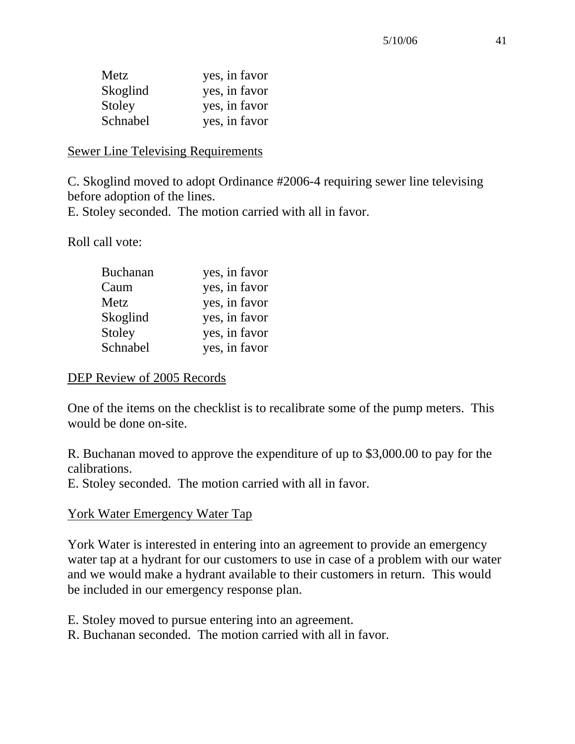| Metz     | yes, in favor |
|----------|---------------|
| Skoglind | yes, in favor |
| Stoley   | yes, in favor |
| Schnabel | yes, in favor |

#### Sewer Line Televising Requirements

C. Skoglind moved to adopt Ordinance #2006-4 requiring sewer line televising before adoption of the lines.

E. Stoley seconded. The motion carried with all in favor.

Roll call vote:

| <b>Buchanan</b> | yes, in favor |
|-----------------|---------------|
| Caum            | yes, in favor |
| Metz            | yes, in favor |
| Skoglind        | yes, in favor |
| Stoley          | yes, in favor |
| Schnabel        | yes, in favor |

#### DEP Review of 2005 Records

One of the items on the checklist is to recalibrate some of the pump meters. This would be done on-site.

R. Buchanan moved to approve the expenditure of up to \$3,000.00 to pay for the calibrations.

E. Stoley seconded. The motion carried with all in favor.

#### York Water Emergency Water Tap

York Water is interested in entering into an agreement to provide an emergency water tap at a hydrant for our customers to use in case of a problem with our water and we would make a hydrant available to their customers in return. This would be included in our emergency response plan.

E. Stoley moved to pursue entering into an agreement.

R. Buchanan seconded. The motion carried with all in favor.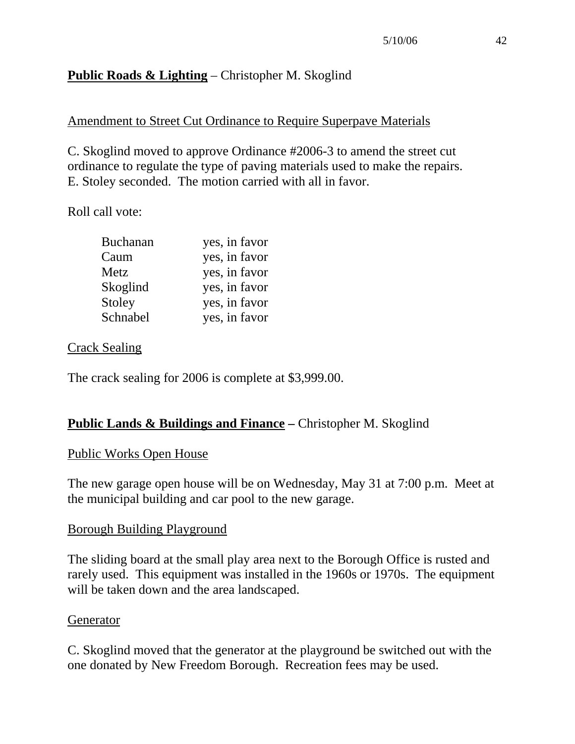# **Public Roads & Lighting** – Christopher M. Skoglind

## Amendment to Street Cut Ordinance to Require Superpave Materials

C. Skoglind moved to approve Ordinance #2006-3 to amend the street cut ordinance to regulate the type of paving materials used to make the repairs. E. Stoley seconded. The motion carried with all in favor.

Roll call vote:

| <b>Buchanan</b> | yes, in favor |
|-----------------|---------------|
| Caum            | yes, in favor |
| Metz            | yes, in favor |
| Skoglind        | yes, in favor |
| Stoley          | yes, in favor |
| Schnabel        | yes, in favor |

### Crack Sealing

The crack sealing for 2006 is complete at \$3,999.00.

## **Public Lands & Buildings and Finance – Christopher M. Skoglind**

### Public Works Open House

The new garage open house will be on Wednesday, May 31 at 7:00 p.m. Meet at the municipal building and car pool to the new garage.

### Borough Building Playground

The sliding board at the small play area next to the Borough Office is rusted and rarely used. This equipment was installed in the 1960s or 1970s. The equipment will be taken down and the area landscaped.

#### Generator

C. Skoglind moved that the generator at the playground be switched out with the one donated by New Freedom Borough. Recreation fees may be used.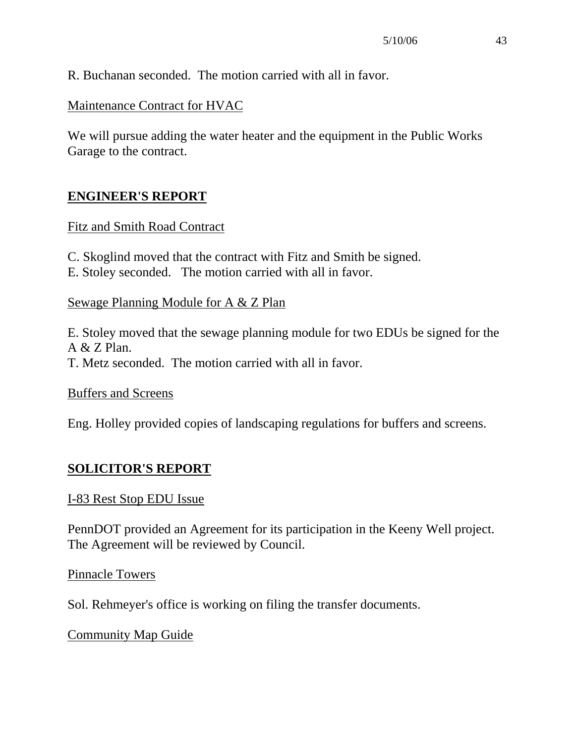R. Buchanan seconded. The motion carried with all in favor.

Maintenance Contract for HVAC

We will pursue adding the water heater and the equipment in the Public Works Garage to the contract.

## **ENGINEER'S REPORT**

### Fitz and Smith Road Contract

C. Skoglind moved that the contract with Fitz and Smith be signed.

E. Stoley seconded. The motion carried with all in favor.

### Sewage Planning Module for A & Z Plan

E. Stoley moved that the sewage planning module for two EDUs be signed for the A & Z Plan. T. Metz seconded. The motion carried with all in favor.

Buffers and Screens

Eng. Holley provided copies of landscaping regulations for buffers and screens.

## **SOLICITOR'S REPORT**

### I-83 Rest Stop EDU Issue

PennDOT provided an Agreement for its participation in the Keeny Well project. The Agreement will be reviewed by Council.

Pinnacle Towers

Sol. Rehmeyer's office is working on filing the transfer documents.

### Community Map Guide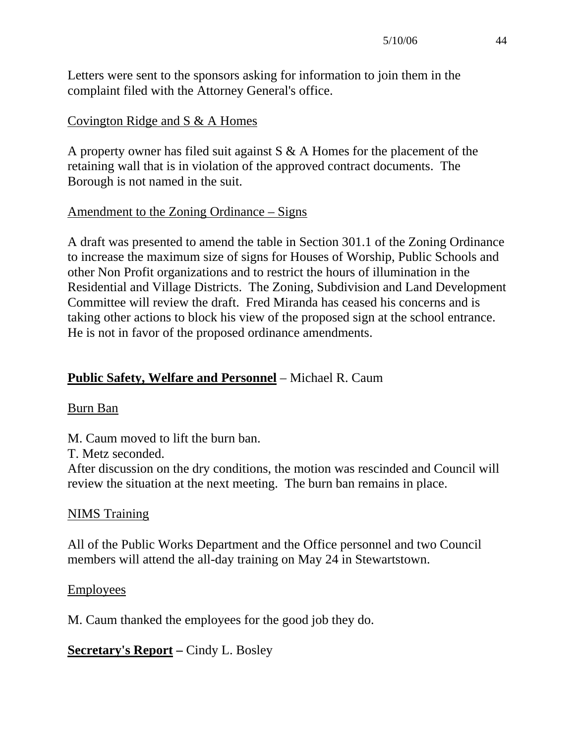Letters were sent to the sponsors asking for information to join them in the complaint filed with the Attorney General's office.

## Covington Ridge and S & A Homes

A property owner has filed suit against S & A Homes for the placement of the retaining wall that is in violation of the approved contract documents. The Borough is not named in the suit.

## Amendment to the Zoning Ordinance – Signs

A draft was presented to amend the table in Section 301.1 of the Zoning Ordinance to increase the maximum size of signs for Houses of Worship, Public Schools and other Non Profit organizations and to restrict the hours of illumination in the Residential and Village Districts. The Zoning, Subdivision and Land Development Committee will review the draft. Fred Miranda has ceased his concerns and is taking other actions to block his view of the proposed sign at the school entrance. He is not in favor of the proposed ordinance amendments.

## **Public Safety, Welfare and Personnel** – Michael R. Caum

### Burn Ban

M. Caum moved to lift the burn ban.

T. Metz seconded.

After discussion on the dry conditions, the motion was rescinded and Council will review the situation at the next meeting. The burn ban remains in place.

### NIMS Training

All of the Public Works Department and the Office personnel and two Council members will attend the all-day training on May 24 in Stewartstown.

### **Employees**

M. Caum thanked the employees for the good job they do.

**Secretary's Report –** Cindy L. Bosley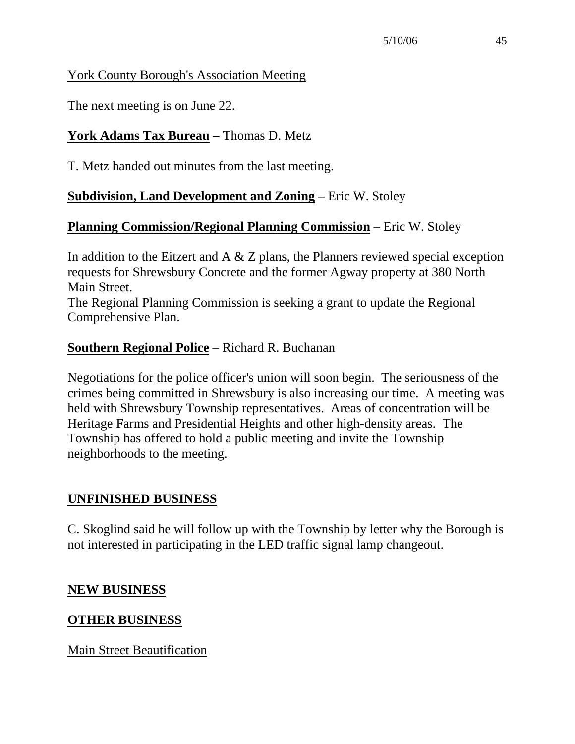## York County Borough's Association Meeting

The next meeting is on June 22.

## **York Adams Tax Bureau –** Thomas D. Metz

T. Metz handed out minutes from the last meeting.

## **Subdivision, Land Development and Zoning** – Eric W. Stoley

## **Planning Commission/Regional Planning Commission** – Eric W. Stoley

In addition to the Eitzert and A  $\&$  Z plans, the Planners reviewed special exception requests for Shrewsbury Concrete and the former Agway property at 380 North Main Street.

The Regional Planning Commission is seeking a grant to update the Regional Comprehensive Plan.

## **Southern Regional Police** – Richard R. Buchanan

Negotiations for the police officer's union will soon begin. The seriousness of the crimes being committed in Shrewsbury is also increasing our time. A meeting was held with Shrewsbury Township representatives. Areas of concentration will be Heritage Farms and Presidential Heights and other high-density areas. The Township has offered to hold a public meeting and invite the Township neighborhoods to the meeting.

### **UNFINISHED BUSINESS**

C. Skoglind said he will follow up with the Township by letter why the Borough is not interested in participating in the LED traffic signal lamp changeout.

### **NEW BUSINESS**

## **OTHER BUSINESS**

Main Street Beautification